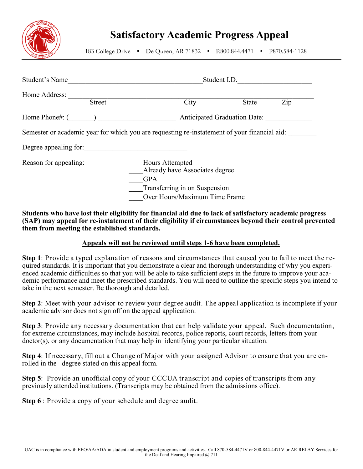

## **Satisfactory Academic Progress Appeal**

183 College Drive **•** De Queen, AR 71832 • P.800.844.4471 • P870.584-1128

| Student's Name                 | Student I.D.                                                                                 |                                                                                                  |     |  |
|--------------------------------|----------------------------------------------------------------------------------------------|--------------------------------------------------------------------------------------------------|-----|--|
| Home Address:<br><b>Street</b> | City                                                                                         | State                                                                                            | Zip |  |
| Home Phone#: (                 | <b>Anticipated Graduation Date:</b>                                                          |                                                                                                  |     |  |
|                                | Semester or academic year for which you are requesting re-instatement of your financial aid: |                                                                                                  |     |  |
| Degree appealing for:          |                                                                                              |                                                                                                  |     |  |
| Reason for appealing:          | Hours Attempted<br><b>GPA</b>                                                                | Already have Associates degree<br>Transferring in on Suspension<br>Over Hours/Maximum Time Frame |     |  |

## **Students who have lost their eligibility for financial aid due to lack of satisfactory academic progress (SAP) may appeal for re-instatement of their eligibility if circumstances beyond their control prevented them from meeting the established standards.**

## **Appeals will not be reviewed until steps 1-6 have been completed.**

**Step 1**: Provide a typed explanation of reasons and circumstances that caused you to fail to meet the required standards. It is important that you demonstrate a clear and thorough understanding of why you experienced academic difficulties so that you will be able to take sufficient steps in the future to improve your academic performance and meet the prescribed standards. You will need to outline the specific steps you intend to take in the next semester. Be thorough and detailed.

**Step 2**: Meet with your advisor to review your degree audit. The appeal application is incomplete if your academic advisor does not sign off on the appeal application.

**Step 3**: Provide any necessary documentation that can help validate your appeal. Such documentation, for extreme circumstances, may include hospital records, police reports, court records, letters from your doctor(s), or any documentation that may help in identifying your particular situation.

**Step 4**: If necessary, fill out a Change of Major with your assigned Advisor to ensure that you are enrolled in the degree stated on this appeal form.

**Step 5**: Provide an unofficial copy of your CCCUA transcript and copies of transcripts from any previously attended institutions. (Transcripts may be obtained from the admissions office).

**Step 6** : Provide a copy of your schedule and degree audit.